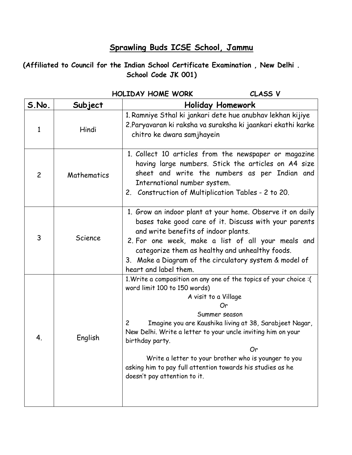## **Sprawling Buds ICSE School, Jammu**

**(Affiliated to Council for the Indian School Certificate Examination , New Delhi . School Code JK 001)**

|                |             | MULLUAY MUME WURK<br>CLASS V                                                                                                                                                                                                                                                                                                                                                                                                                                                  |  |  |  |  |
|----------------|-------------|-------------------------------------------------------------------------------------------------------------------------------------------------------------------------------------------------------------------------------------------------------------------------------------------------------------------------------------------------------------------------------------------------------------------------------------------------------------------------------|--|--|--|--|
| S.No.          | Subject     | <b>Holiday Homework</b>                                                                                                                                                                                                                                                                                                                                                                                                                                                       |  |  |  |  |
| $\mathbf{1}$   | Hindi       | 1. Ramniye Sthal ki jankari dete hue anubhav lekhan kijiye<br>2.Paryavaran ki raksha va suraksha ki jaankari ekathi karke<br>chitro ke dwara samjhayein                                                                                                                                                                                                                                                                                                                       |  |  |  |  |
| $\overline{c}$ | Mathematics | 1. Collect 10 articles from the newspaper or magazine<br>having large numbers. Stick the articles on A4 size<br>sheet and write the numbers as per Indian and<br>International number system.<br>2. Construction of Multiplication Tables - 2 to 20.                                                                                                                                                                                                                          |  |  |  |  |
| 3              | Science     | 1. Grow an indoor plant at your home. Observe it on daily<br>bases take good care of it. Discuss with your parents<br>and write benefits of indoor plants.<br>2. For one week, make a list of all your meals and<br>categorize them as healthy and unhealthy foods.<br>3. Make a Diagram of the circulatory system & model of<br>heart and label them.                                                                                                                        |  |  |  |  |
| 4.             | English     | 1. Write a composition on any one of the topics of your choice : (<br>word limit 100 to 150 words)<br>A visit to a Village<br>Or<br>Summer season<br>Imagine you are Kaushika living at 38, Sarabjeet Nagar,<br>$\overline{c}$<br>New Delhi. Write a letter to your uncle inviting him on your<br>birthday party.<br>Or<br>Write a letter to your brother who is younger to you<br>asking him to pay full attention towards his studies as he<br>doesn't pay attention to it. |  |  |  |  |

## **HOLIDAY HOME WORK CLASS V**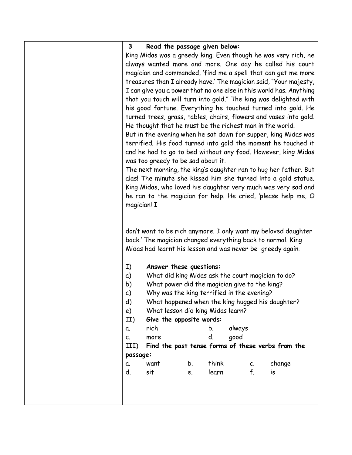|  | 3                                                                                                                          | Read the passage given below:                               |    |       |        |    |                                                                     |  |
|--|----------------------------------------------------------------------------------------------------------------------------|-------------------------------------------------------------|----|-------|--------|----|---------------------------------------------------------------------|--|
|  |                                                                                                                            |                                                             |    |       |        |    |                                                                     |  |
|  | King Midas was a greedy king. Even though he was very rich, he<br>always wanted more and more. One day he called his court |                                                             |    |       |        |    |                                                                     |  |
|  | magician and commanded, 'find me a spell that can get me more                                                              |                                                             |    |       |        |    |                                                                     |  |
|  |                                                                                                                            |                                                             |    |       |        |    | treasures than I already have.' The magician said, "Your majesty,   |  |
|  |                                                                                                                            |                                                             |    |       |        |    | I can give you a power that no one else in this world has. Anything |  |
|  |                                                                                                                            |                                                             |    |       |        |    | that you touch will turn into gold." The king was delighted with    |  |
|  |                                                                                                                            |                                                             |    |       |        |    | his good fortune. Everything he touched turned into gold. He        |  |
|  |                                                                                                                            |                                                             |    |       |        |    | turned trees, grass, tables, chairs, flowers and vases into gold.   |  |
|  |                                                                                                                            | He thought that he must be the richest man in the world.    |    |       |        |    |                                                                     |  |
|  |                                                                                                                            |                                                             |    |       |        |    | But in the evening when he sat down for supper, king Midas was      |  |
|  |                                                                                                                            |                                                             |    |       |        |    | terrified. His food turned into gold the moment he touched it       |  |
|  |                                                                                                                            |                                                             |    |       |        |    | and he had to go to bed without any food. However, king Midas       |  |
|  |                                                                                                                            | was too greedy to be sad about it.                          |    |       |        |    |                                                                     |  |
|  |                                                                                                                            |                                                             |    |       |        |    | The next morning, the king's daughter ran to hug her father. But    |  |
|  |                                                                                                                            |                                                             |    |       |        |    | alas! The minute she kissed him she turned into a gold statue.      |  |
|  |                                                                                                                            |                                                             |    |       |        |    | King Midas, who loved his daughter very much was very sad and       |  |
|  |                                                                                                                            |                                                             |    |       |        |    | he ran to the magician for help. He cried, 'please help me, O       |  |
|  | magician! I                                                                                                                |                                                             |    |       |        |    |                                                                     |  |
|  |                                                                                                                            |                                                             |    |       |        |    |                                                                     |  |
|  |                                                                                                                            |                                                             |    |       |        |    |                                                                     |  |
|  |                                                                                                                            | back.' The magician changed everything back to normal. King |    |       |        |    | don't want to be rich anymore. I only want my beloved daughter      |  |
|  |                                                                                                                            | Midas had learnt his lesson and was never be greedy again.  |    |       |        |    |                                                                     |  |
|  |                                                                                                                            |                                                             |    |       |        |    |                                                                     |  |
|  | I)                                                                                                                         | Answer these questions:                                     |    |       |        |    |                                                                     |  |
|  | a)                                                                                                                         | What did king Midas ask the court magician to do?           |    |       |        |    |                                                                     |  |
|  | What power did the magician give to the king?<br>b)                                                                        |                                                             |    |       |        |    |                                                                     |  |
|  | c)                                                                                                                         | Why was the king terrified in the evening?                  |    |       |        |    |                                                                     |  |
|  | d)<br>What happened when the king hugged his daughter?                                                                     |                                                             |    |       |        |    |                                                                     |  |
|  | What lesson did king Midas learn?<br>e)                                                                                    |                                                             |    |       |        |    |                                                                     |  |
|  | II)                                                                                                                        | Give the opposite words:                                    |    |       |        |    |                                                                     |  |
|  | α.                                                                                                                         | rich                                                        |    | b.    | always |    |                                                                     |  |
|  | C.                                                                                                                         | more                                                        |    | d.    | qood   |    |                                                                     |  |
|  | III)                                                                                                                       |                                                             |    |       |        |    | Find the past tense forms of these verbs from the                   |  |
|  | passage:                                                                                                                   |                                                             |    |       |        |    |                                                                     |  |
|  | α.                                                                                                                         | want                                                        | b. | think |        | C. | change                                                              |  |
|  | d.                                                                                                                         | sit                                                         | e. | learn |        | f. | is                                                                  |  |
|  |                                                                                                                            |                                                             |    |       |        |    |                                                                     |  |
|  |                                                                                                                            |                                                             |    |       |        |    |                                                                     |  |
|  |                                                                                                                            |                                                             |    |       |        |    |                                                                     |  |